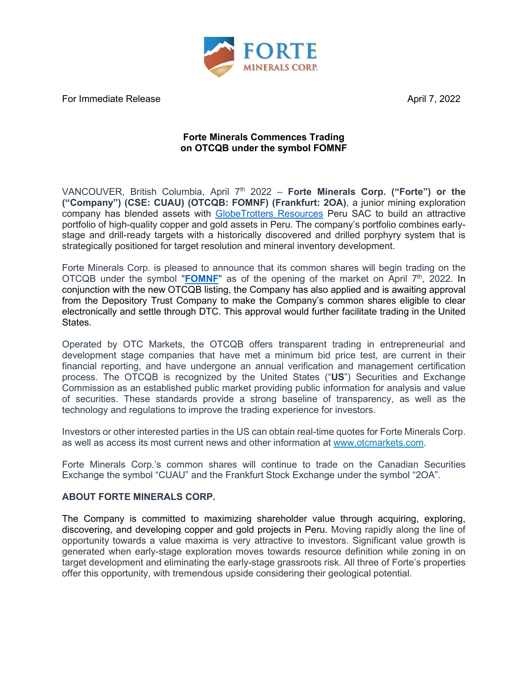

For Immediate Release April 7, 2022

## **Forte Minerals Commences Trading on OTCQB under the symbol FOMNF**

VANCOUVER, British Columbia, April 7<sup>th</sup> 2022 – **Forte Minerals Corp. ("Forte") or the ("Company") (CSE: CUAU) (OTCQB: FOMNF) (Frankfurt: 2OA)**, a junior mining exploration company has blended assets with [GlobeTrotters Resources](http://www.globetrottersresources.ca/) Peru SAC to build an attractive portfolio of high-quality copper and gold assets in Peru. The company's portfolio combines earlystage and drill-ready targets with a historically discovered and drilled porphyry system that is strategically positioned for target resolution and mineral inventory development.

Forte Minerals Corp. is pleased to announce that its common shares will begin trading on the OTCQB under the symbol "**[FOMNF](https://www.otcmarkets.com/stock/FOMNF/overview)**" as of the opening of the market on April  $7<sup>th</sup>$ , 2022. In conjunction with the new OTCQB listing, the Company has also applied and is awaiting approval from the Depository Trust Company to make the Company's common shares eligible to clear electronically and settle through DTC. This approval would further facilitate trading in the United States.

Operated by OTC Markets, the OTCQB offers transparent trading in entrepreneurial and development stage companies that have met a minimum bid price test, are current in their financial reporting, and have undergone an annual verification and management certification process. The OTCQB is recognized by the United States ("**US**") Securities and Exchange Commission as an established public market providing public information for analysis and value of securities. These standards provide a strong baseline of transparency, as well as the technology and regulations to improve the trading experience for investors.

Investors or other interested parties in the US can obtain real-time quotes for Forte Minerals Corp. as well as access its most current news and other information at [www.otcmarkets.com.](http://www.otcmarkets.com/)

Forte Minerals Corp.'s common shares will continue to trade on the Canadian Securities Exchange the symbol "CUAU" and the Frankfurt Stock Exchange under the symbol "2OA".

## **ABOUT FORTE MINERALS CORP.**

The Company is committed to maximizing shareholder value through acquiring, exploring, discovering, and developing copper and gold projects in Peru. Moving rapidly along the line of opportunity towards a value maxima is very attractive to investors. Significant value growth is generated when early-stage exploration moves towards resource definition while zoning in on target development and eliminating the early-stage grassroots risk. All three of Forte's properties offer this opportunity, with tremendous upside considering their geological potential.